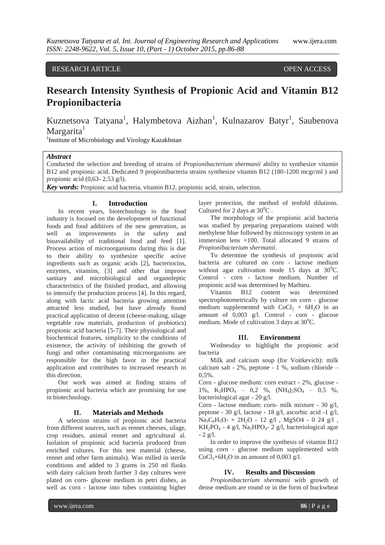RESEARCH ARTICLE **CONSERVERS** OPEN ACCESS

# **Research Intensity Synthesis of Propionic Acid and Vitamin B12 Propionibacteria**

Kuznetsova Tatyana<sup>1</sup>, Halymbetova Aizhan<sup>1</sup>, Kulnazarov Batyr<sup>1</sup>, Saubenova Margarita<sup>1</sup>

<sup>1</sup>Institute of Microbiology and Virology Kazakhstan

#### *Abstract*

Conducted the selection and breeding of strains of *Propionibacterium shermanii* ability to synthesize vitamin B12 and propionic acid. Dedicated 9 propionibacteria strains synthesize vitamin B12 (180-1200 mcgr/ml ) and propionic acid  $(0,63-2,53 \text{ g/l})$ .

*Key words:* Propionic acid bacteria, vitamin B12, propionic acid, strain, selection.

## **I. Introduction**

In recent years, biotechnology in the food industry is focused on the development of functional foods and food additives of the new generation, as well as improvements in the safety and bioavailability of traditional food and feed [1]. Process action of microorganisms during this is due to their ability to synthesize specific active ingredients such as organic acids [2], bacteriocins, enzymes, vitamins, [3] and other that improve sanitary and microbiological and organoleptic characteristics of the finished product, and allowing to intensify the production process [4]. In this regard, along with lactic acid bacteria growing attention attracted less studied, but have already found practical application of decent (cheese-making, silage vegetable raw materials, production of probiotics) propionic acid bacteria [5-7]. Their physiological and biochemical features, simplicity to the conditions of existence, the activity of inhibiting the growth of fungi and other contaminating microorganisms are responsible for the high favor in the practical application and contributes to increased research in this direction.

Our work was aimed at finding strains of propionic acid bacteria which are promising for use in biotechnology.

#### **II. Materials and Methods**

A selection strains of propionic acid bacteria from different sources, such as rennet cheeses, silage, crop residues, animal rennet and agricultural al. Isolation of propionic acid bacteria produced from enriched cultures. For this test material (cheese, rennet and other farm animals). Was milled in sterile conditions and added to 3 grams in 250 ml flasks with dairy calcium broth further 3 day cultures were plated on corn- glucose medium in petri dishes, as well as corn - lactose into tubes containing higher

layer protection, the method of tenfold dilutions. Cultured for 2 days at  $30^0$ C.

The morphology of the propionic acid bacteria was studied by preparing preparations stained with methylene blue followed by microscopy system in an immersion lens ×100. Total allocated 9 strains of *Propionibacterium shermanii*.

To determine the synthesis of propionic acid bacteria are cultured on corn - lactose medium without agar cultivation mode 15 days at  $30^0C$ . Control - corn - lactose medium. Number of propionic acid was determined by Mathieu.

Vitamin B12 content was determined spectrophotometrically by culture on corn - glucose medium supplemented with  $CoCl<sub>2</sub> \times 6H<sub>2</sub>O$  in an amount of 0,003 g/l. Control - corn - glucose medium. Mode of cultivation 3 days at  $30^0C$ .

### **III. Environment**

Wednesday to highlight the propionic acid bacteria

Milk and calcium soup (for Voitkevich): milk calcium salt - 2%, peptone - 1 %, sodium chloride – 0,5%.

Corn - glucose medium: corn extract - 2%, glucose - 1%,  $K_2HPO_4$  – 0,2 %,  $(NH_4)_2SO_4$  – 0,5 %, bacteriological agar - 20 g/l.

Corn - lactose medium: corn- milk mixture - 30 g/l, peptone - 30 g/l, lactose - 18 g/l, ascorbic acid -1 g/l,  $Na_3C_6H_5O_7 \times 2H_2O - 12$  g/l,  $MgSO4 - 0$  24 g/l,  $KH_2PO_4$  - 4 g/l, Na<sub>2</sub>HPO<sub>4</sub>- 2 g/l, bacteriological agar  $- 2 g/l$ .

In order to improve the synthesis of vitamin B12 using corn - glucose medium supplemented with  $CoCl<sub>2</sub>×6H<sub>2</sub>O$  in an amount of 0,003 g/l.

#### **IV. Results and Discussion**

*Propionibacterium shermanii* with growth of dense medium are round or in the form of buckwheat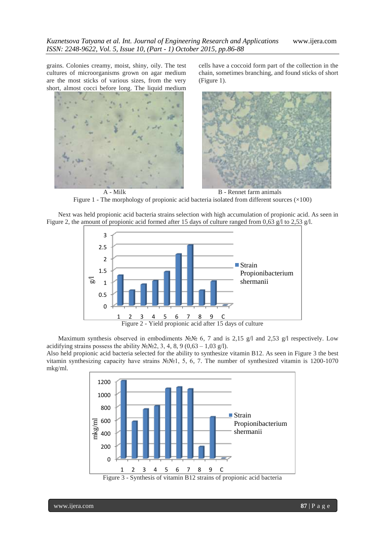grains. Colonies creamy, moist, shiny, oily. The test cultures of microorganisms grown on agar medium are the most sticks of various sizes, from the very short, almost cocci before long. The liquid medium

cells have a coccoid form part of the collection in the chain, sometimes branching, and found sticks of short (Figure 1).



A - Milk B - Rennet farm animals Figure 1 - The morphology of propionic acid bacteria isolated from different sources  $(\times 100)$ 

Next was held propionic acid bacteria strains selection with high accumulation of propionic acid. As seen in Figure 2, the amount of propionic acid formed after 15 days of culture ranged from 0,63 g/l to 2,53 g/l.



Maximum synthesis observed in embodiments  $N \& N \& 6$ , 7 and is 2,15 g/l and 2,53 g/l respectively. Low acidifying strains possess the ability  $N_2N_2$ , 3, 4, 8, 9 (0, 63 – 1,03 g/l).

Also held propionic acid bacteria selected for the ability to synthesize vitamin B12. As seen in Figure 3 the best vitamin synthesizing capacity have strains №№1, 5, 6, 7. The number of synthesized vitamin is 1200-1070 mkg/ml.